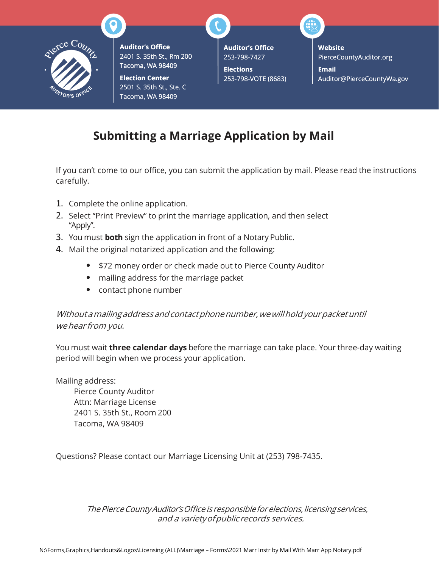

**Auditor's Office** 2401 S. 35th St., Rm 200 200 Tacoma, WA 98409

**Election Center** 2501 S. 35th St., Ste. C Tacoma, WA 98409

**Auditor's Office** 253-798-7427

**Elections** 253-798-VOTE (8683) **Website** PierceCountyAuditor.org **Email** [Auditor@PierceCountyWa.gov](mailto:Auditor@PierceCountyWa.gov)

## **Submitting a Marriage Application by Mail**

If you can't come to our office, you can submit the application by mail. Please read the instructions carefully.

- 1. Complete the online application.
- 2. Select "Print Preview" to print the marriage application, and then select "Apply".
- 3. You must **both** sign the application in front of a Notary Public.
- 4. Mail the original notarized application and the following:
	- \$72 money order or check made out to Pierce County Auditor
	- mailing address for the marriage packet
	- contact phone number

## Without a mailing address and contact phone number, we will hold your packet until wehear from you.

You must wait **three calendar days** before the marriage can take place. Your three-day waiting period will begin when we process your application.

Mailing address:

Pierce County Auditor Attn: Marriage License 2401 S. 35th St., Room 200 Tacoma, WA 98409

Questions? Please contact our Marriage Licensing Unit at (253) 798-7435.

The Pierce County Auditor's Office is responsible for elections, licensing services, and a variety of publicrecords services.